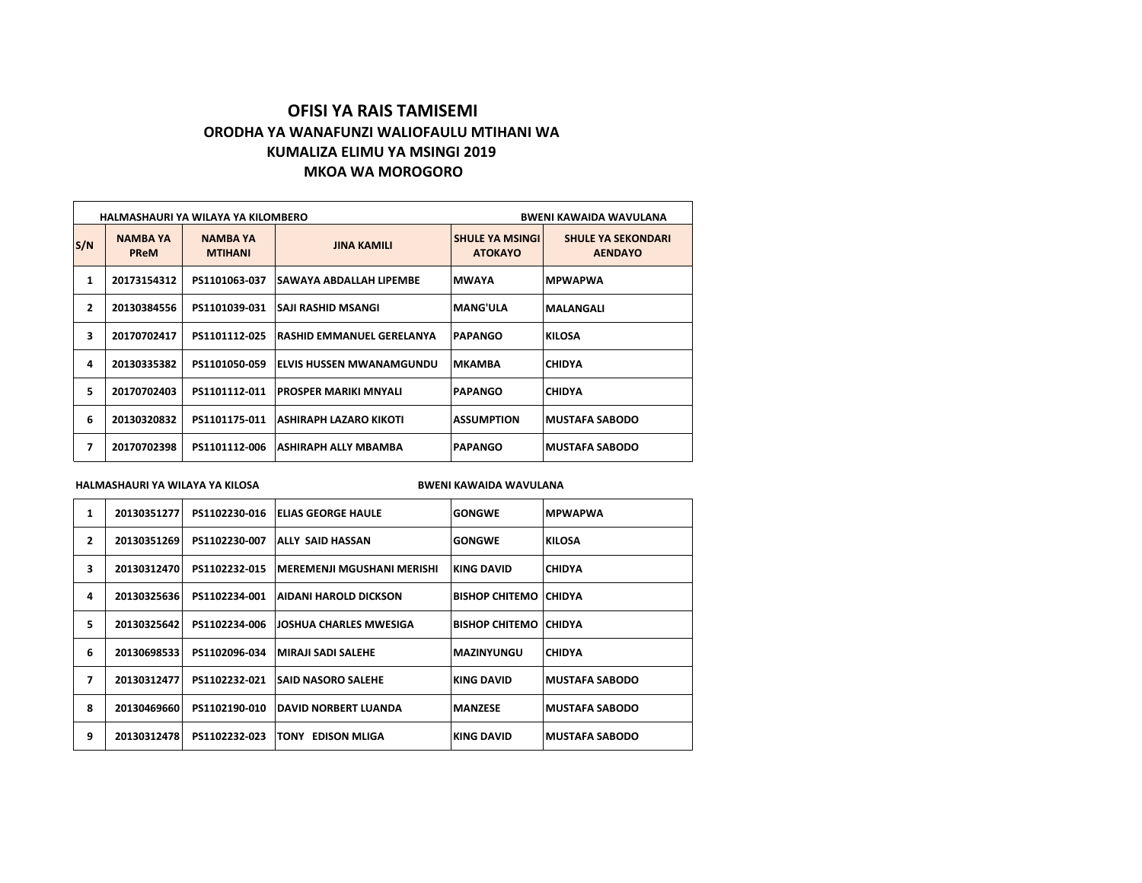# **OFISI YA RAIS TAMISEMI ORODHA YA WANAFUNZI WALIOFAULU MTIHANI WA KUMALIZA ELIMU YA MSINGI 2019 MKOA WA MOROGORO**

|                |                                | HALMASHAURI YA WILAYA YA KILOMBERO | BWENI KAWAIDA WAVULANA           |                                          |                                             |
|----------------|--------------------------------|------------------------------------|----------------------------------|------------------------------------------|---------------------------------------------|
| S/N            | <b>NAMBA YA</b><br><b>PReM</b> | <b>NAMBA YA</b><br><b>MTIHANI</b>  | <b>JINA KAMILI</b>               | <b>SHULE YA MSINGI</b><br><b>ATOKAYO</b> | <b>SHULE YA SEKONDARI</b><br><b>AENDAYO</b> |
| 1              | 20173154312                    | PS1101063-037                      | ISAWAYA ABDALLAH LIPEMBE         | <b>MWAYA</b>                             | <b>MPWAPWA</b>                              |
| $\overline{2}$ | 20130384556                    | PS1101039-031                      | SAJI RASHID MSANGI               | <b>MANG'ULA</b>                          | <b>MALANGALI</b>                            |
| 3              | 20170702417                    | PS1101112-025                      | <b>RASHID EMMANUEL GERELANYA</b> | <b>PAPANGO</b>                           | <b>KILOSA</b>                               |
| 4              | 20130335382                    | PS1101050-059                      | ELVIS HUSSEN MWANAMGUNDU         | <b>MKAMBA</b>                            | <b>CHIDYA</b>                               |
| 5              | 20170702403                    | PS1101112-011                      | <b>PROSPER MARIKI MNYALI</b>     | <b>PAPANGO</b>                           | <b>CHIDYA</b>                               |
| 6              | 20130320832                    | PS1101175-011                      | ASHIRAPH LAZARO KIKOTI           | <b>ASSUMPTION</b>                        | <b>MUSTAFA SABODO</b>                       |
| 7              | 20170702398                    | PS1101112-006                      | ASHIRAPH ALLY MBAMBA             | <b>PAPANGO</b>                           | <b>MUSTAFA SABODO</b>                       |

**HALMASHAURI YA WILAYA YA KILOSA BWENI KAWAIDA WAVULANA**

| 1              | 20130351277  | PS1102230-016 | <b>IELIAS GEORGE HAULE</b>         | <b>GONGWE</b>           | <b>MPWAPWA</b>         |
|----------------|--------------|---------------|------------------------------------|-------------------------|------------------------|
| $\overline{2}$ | 20130351269  | PS1102230-007 | ALLY SAID HASSAN                   | <b>GONGWE</b>           | <b>KILOSA</b>          |
| 3              | 201303124701 | PS1102232-015 | IMEREMENJI MGUSHANI MERISHI        | IKING DAVID             | <b>CHIDYA</b>          |
| 4              | 20130325636  | PS1102234-001 | AIDANI HAROLD DICKSON              | BISHOP CHITEMO   CHIDYA |                        |
| 5              | 20130325642  | PS1102234-006 | JOSHUA CHARLES MWESIGA             | BISHOP CHITEMO   CHIDYA |                        |
| 6              | 20130698533  | PS1102096-034 | İMIRAJI SADI SALEHE                | IMAZINYUNGU             | <b>CHIDYA</b>          |
| 7              | 20130312477  | PS1102232-021 | <b>SAID NASORO SALEHE</b>          | KING DAVID              | IMUSTAFA SABODO        |
| 8              | 20130469660  | PS1102190-010 | IDAVID NORBERT LUANDA              | <b>IMANZESE</b>         | <b>IMUSTAFA SABODO</b> |
| 9              | 20130312478  | PS1102232-023 | <b>EDISON MLIGA</b><br><b>TONY</b> | KING DAVID              | IMUSTAFA SABODO        |